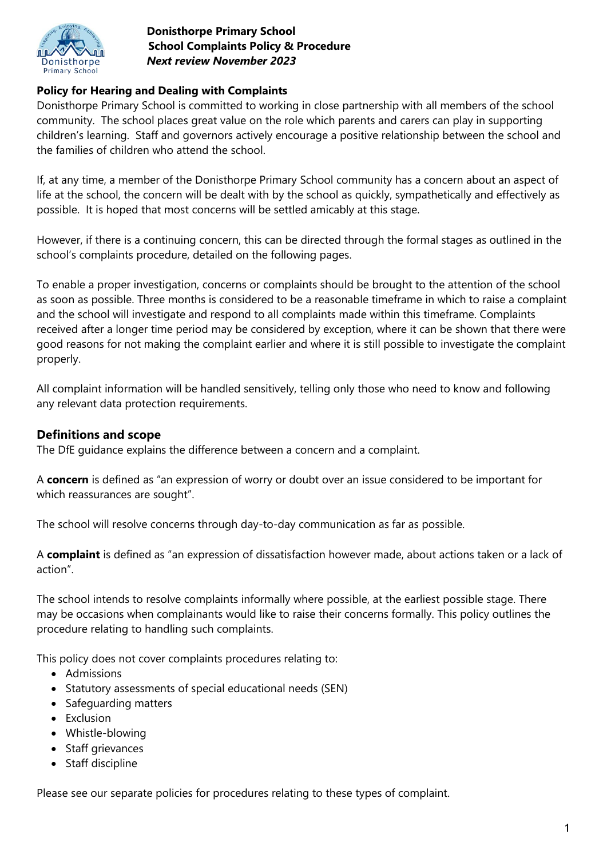

# **Policy for Hearing and Dealing with Complaints**

Donisthorpe Primary School is committed to working in close partnership with all members of the school community. The school places great value on the role which parents and carers can play in supporting children's learning. Staff and governors actively encourage a positive relationship between the school and the families of children who attend the school.

If, at any time, a member of the Donisthorpe Primary School community has a concern about an aspect of life at the school, the concern will be dealt with by the school as quickly, sympathetically and effectively as possible. It is hoped that most concerns will be settled amicably at this stage.

However, if there is a continuing concern, this can be directed through the formal stages as outlined in the school's complaints procedure, detailed on the following pages.

To enable a proper investigation, concerns or complaints should be brought to the attention of the school as soon as possible. Three months is considered to be a reasonable timeframe in which to raise a complaint and the school will investigate and respond to all complaints made within this timeframe. Complaints received after a longer time period may be considered by exception, where it can be shown that there were good reasons for not making the complaint earlier and where it is still possible to investigate the complaint properly.

All complaint information will be handled sensitively, telling only those who need to know and following any relevant data protection requirements.

#### **Definitions and scope**

The DfE guidance explains the difference between a concern and a complaint.

A **concern** is defined as "an expression of worry or doubt over an issue considered to be important for which reassurances are sought".

The school will resolve concerns through day-to-day communication as far as possible.

A **complaint** is defined as "an expression of dissatisfaction however made, about actions taken or a lack of action".

The school intends to resolve complaints informally where possible, at the earliest possible stage. There may be occasions when complainants would like to raise their concerns formally. This policy outlines the procedure relating to handling such complaints.

This policy does not cover complaints procedures relating to:

- Admissions
- Statutory assessments of special educational needs (SEN)
- Safeguarding matters
- Exclusion
- Whistle-blowing
- Staff grievances
- Staff discipline

Please see our separate policies for procedures relating to these types of complaint.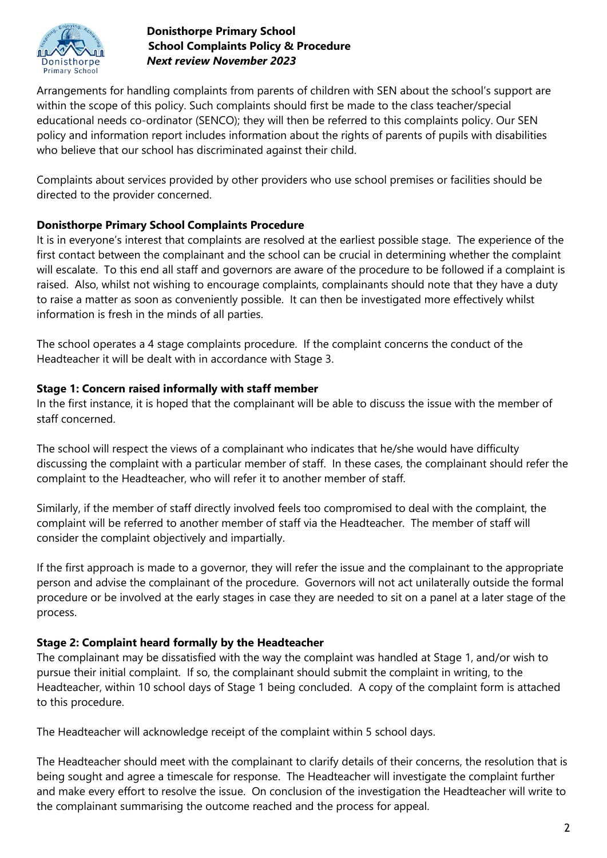

Arrangements for handling complaints from parents of children with SEN about the school's support are within the scope of this policy. Such complaints should first be made to the class teacher/special educational needs co-ordinator (SENCO); they will then be referred to this complaints policy. Our SEN policy and information report includes information about the rights of parents of pupils with disabilities who believe that our school has discriminated against their child.

Complaints about services provided by other providers who use school premises or facilities should be directed to the provider concerned.

### **Donisthorpe Primary School Complaints Procedure**

It is in everyone's interest that complaints are resolved at the earliest possible stage. The experience of the first contact between the complainant and the school can be crucial in determining whether the complaint will escalate. To this end all staff and governors are aware of the procedure to be followed if a complaint is raised. Also, whilst not wishing to encourage complaints, complainants should note that they have a duty to raise a matter as soon as conveniently possible. It can then be investigated more effectively whilst information is fresh in the minds of all parties.

The school operates a 4 stage complaints procedure. If the complaint concerns the conduct of the Headteacher it will be dealt with in accordance with Stage 3.

### **Stage 1: Concern raised informally with staff member**

In the first instance, it is hoped that the complainant will be able to discuss the issue with the member of staff concerned.

The school will respect the views of a complainant who indicates that he/she would have difficulty discussing the complaint with a particular member of staff. In these cases, the complainant should refer the complaint to the Headteacher, who will refer it to another member of staff.

Similarly, if the member of staff directly involved feels too compromised to deal with the complaint, the complaint will be referred to another member of staff via the Headteacher. The member of staff will consider the complaint objectively and impartially.

If the first approach is made to a governor, they will refer the issue and the complainant to the appropriate person and advise the complainant of the procedure. Governors will not act unilaterally outside the formal procedure or be involved at the early stages in case they are needed to sit on a panel at a later stage of the process.

### **Stage 2: Complaint heard formally by the Headteacher**

The complainant may be dissatisfied with the way the complaint was handled at Stage 1, and/or wish to pursue their initial complaint. If so, the complainant should submit the complaint in writing, to the Headteacher, within 10 school days of Stage 1 being concluded. A copy of the complaint form is attached to this procedure.

The Headteacher will acknowledge receipt of the complaint within 5 school days.

The Headteacher should meet with the complainant to clarify details of their concerns, the resolution that is being sought and agree a timescale for response. The Headteacher will investigate the complaint further and make every effort to resolve the issue. On conclusion of the investigation the Headteacher will write to the complainant summarising the outcome reached and the process for appeal.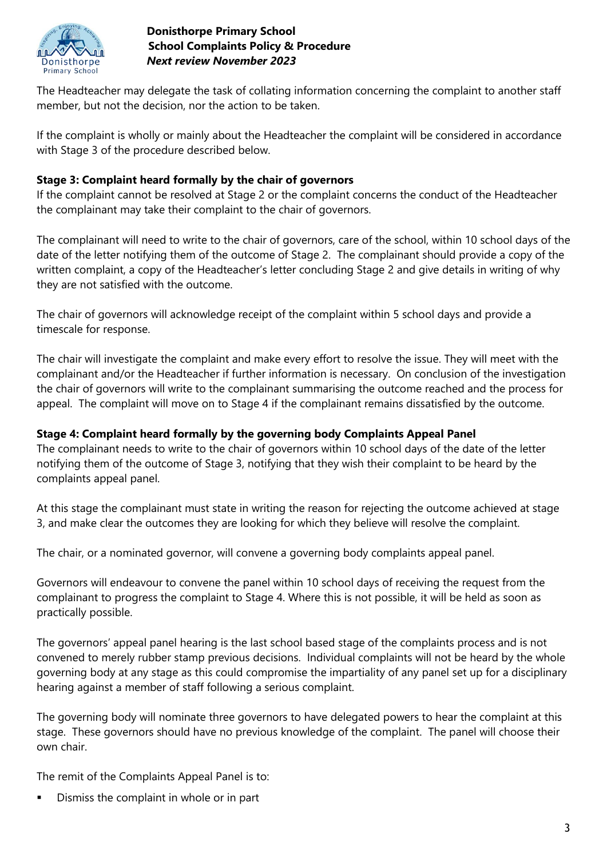

The Headteacher may delegate the task of collating information concerning the complaint to another staff member, but not the decision, nor the action to be taken.

If the complaint is wholly or mainly about the Headteacher the complaint will be considered in accordance with Stage 3 of the procedure described below.

## **Stage 3: Complaint heard formally by the chair of governors**

If the complaint cannot be resolved at Stage 2 or the complaint concerns the conduct of the Headteacher the complainant may take their complaint to the chair of governors.

The complainant will need to write to the chair of governors, care of the school, within 10 school days of the date of the letter notifying them of the outcome of Stage 2. The complainant should provide a copy of the written complaint, a copy of the Headteacher's letter concluding Stage 2 and give details in writing of why they are not satisfied with the outcome.

The chair of governors will acknowledge receipt of the complaint within 5 school days and provide a timescale for response.

The chair will investigate the complaint and make every effort to resolve the issue. They will meet with the complainant and/or the Headteacher if further information is necessary. On conclusion of the investigation the chair of governors will write to the complainant summarising the outcome reached and the process for appeal. The complaint will move on to Stage 4 if the complainant remains dissatisfied by the outcome.

## **Stage 4: Complaint heard formally by the governing body Complaints Appeal Panel**

The complainant needs to write to the chair of governors within 10 school days of the date of the letter notifying them of the outcome of Stage 3, notifying that they wish their complaint to be heard by the complaints appeal panel.

At this stage the complainant must state in writing the reason for rejecting the outcome achieved at stage 3, and make clear the outcomes they are looking for which they believe will resolve the complaint.

The chair, or a nominated governor, will convene a governing body complaints appeal panel.

Governors will endeavour to convene the panel within 10 school days of receiving the request from the complainant to progress the complaint to Stage 4. Where this is not possible, it will be held as soon as practically possible.

The governors' appeal panel hearing is the last school based stage of the complaints process and is not convened to merely rubber stamp previous decisions. Individual complaints will not be heard by the whole governing body at any stage as this could compromise the impartiality of any panel set up for a disciplinary hearing against a member of staff following a serious complaint.

The governing body will nominate three governors to have delegated powers to hear the complaint at this stage. These governors should have no previous knowledge of the complaint. The panel will choose their own chair.

The remit of the Complaints Appeal Panel is to:

Dismiss the complaint in whole or in part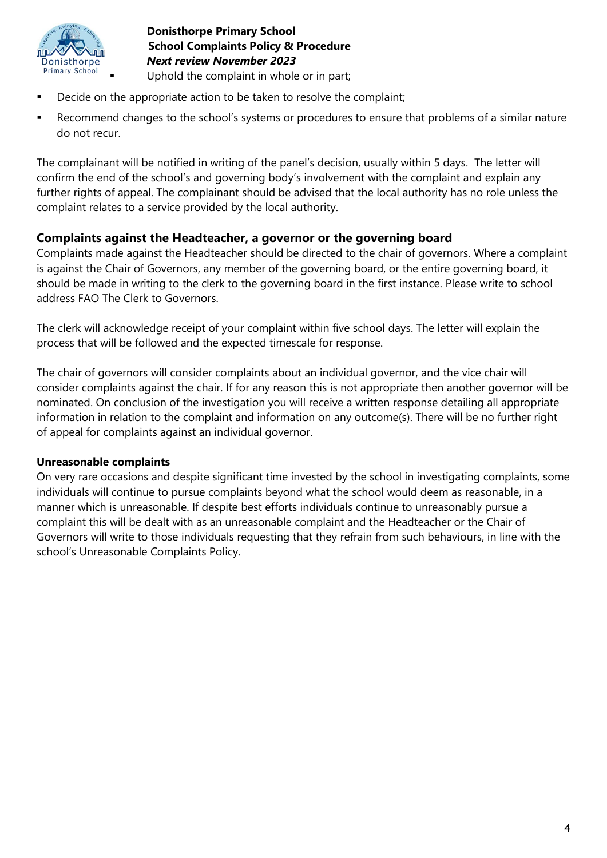

- Decide on the appropriate action to be taken to resolve the complaint;
- Recommend changes to the school's systems or procedures to ensure that problems of a similar nature do not recur.

The complainant will be notified in writing of the panel's decision, usually within 5 days. The letter will confirm the end of the school's and governing body's involvement with the complaint and explain any further rights of appeal. The complainant should be advised that the local authority has no role unless the complaint relates to a service provided by the local authority.

#### **Complaints against the Headteacher, a governor or the governing board**

Complaints made against the Headteacher should be directed to the chair of governors. Where a complaint is against the Chair of Governors, any member of the governing board, or the entire governing board, it should be made in writing to the clerk to the governing board in the first instance. Please write to school address FAO The Clerk to Governors.

The clerk will acknowledge receipt of your complaint within five school days. The letter will explain the process that will be followed and the expected timescale for response.

The chair of governors will consider complaints about an individual governor, and the vice chair will consider complaints against the chair. If for any reason this is not appropriate then another governor will be nominated. On conclusion of the investigation you will receive a written response detailing all appropriate information in relation to the complaint and information on any outcome(s). There will be no further right of appeal for complaints against an individual governor.

#### **Unreasonable complaints**

On very rare occasions and despite significant time invested by the school in investigating complaints, some individuals will continue to pursue complaints beyond what the school would deem as reasonable, in a manner which is unreasonable. If despite best efforts individuals continue to unreasonably pursue a complaint this will be dealt with as an unreasonable complaint and the Headteacher or the Chair of Governors will write to those individuals requesting that they refrain from such behaviours, in line with the school's Unreasonable Complaints Policy.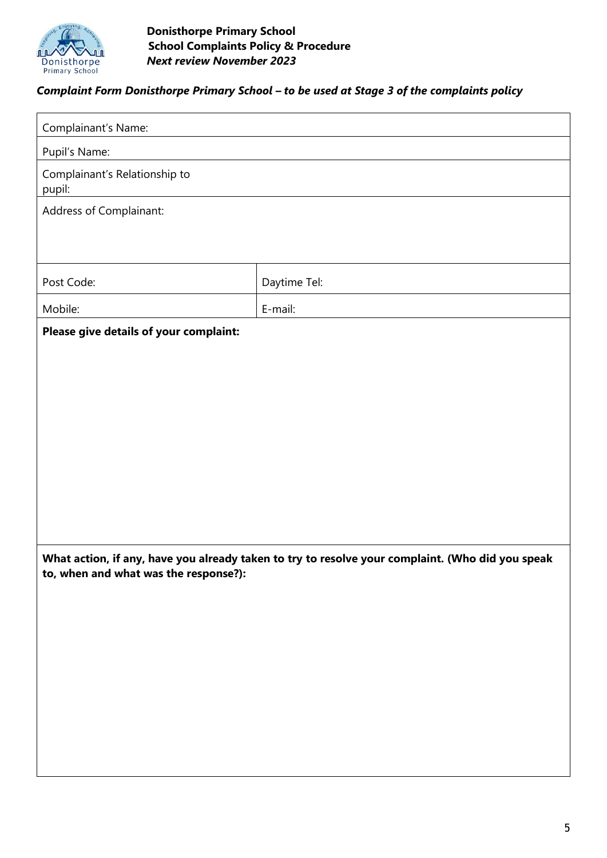

## *Complaint Form Donisthorpe Primary School – to be used at Stage 3 of the complaints policy*

| Complainant's Name:                                                                                                                       |              |  |
|-------------------------------------------------------------------------------------------------------------------------------------------|--------------|--|
| Pupil's Name:                                                                                                                             |              |  |
| Complainant's Relationship to<br>pupil:                                                                                                   |              |  |
| Address of Complainant:                                                                                                                   |              |  |
|                                                                                                                                           |              |  |
| Post Code:                                                                                                                                | Daytime Tel: |  |
| Mobile:                                                                                                                                   | E-mail:      |  |
| Please give details of your complaint:                                                                                                    |              |  |
|                                                                                                                                           |              |  |
|                                                                                                                                           |              |  |
|                                                                                                                                           |              |  |
|                                                                                                                                           |              |  |
|                                                                                                                                           |              |  |
|                                                                                                                                           |              |  |
|                                                                                                                                           |              |  |
|                                                                                                                                           |              |  |
| What action, if any, have you already taken to try to resolve your complaint. (Who did you speak<br>to, when and what was the response?): |              |  |
|                                                                                                                                           |              |  |
|                                                                                                                                           |              |  |
|                                                                                                                                           |              |  |
|                                                                                                                                           |              |  |
|                                                                                                                                           |              |  |
|                                                                                                                                           |              |  |
|                                                                                                                                           |              |  |
|                                                                                                                                           |              |  |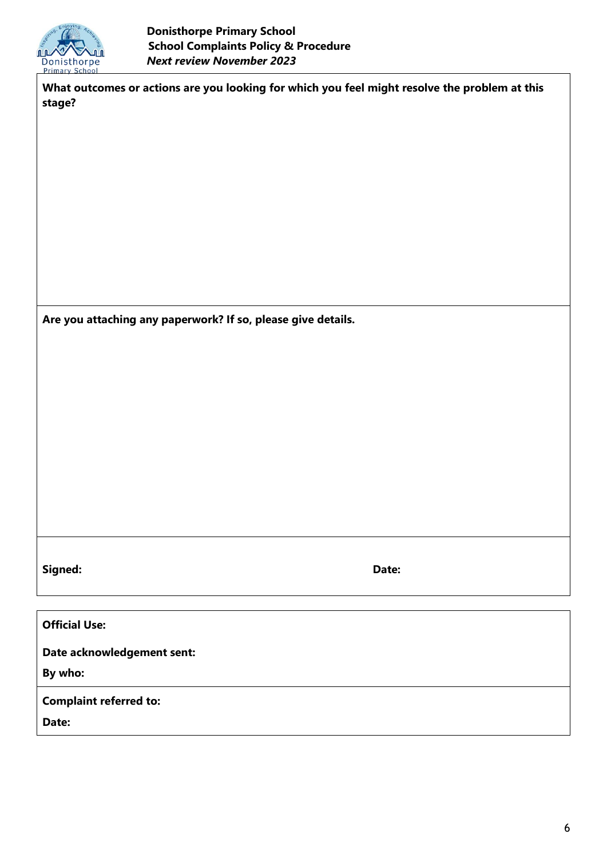

**What outcomes or actions are you looking for which you feel might resolve the problem at this stage?**

**Are you attaching any paperwork? If so, please give details.**

**Signed: Date:**

**Official Use:**

**Date acknowledgement sent:**

**By who:**

**Complaint referred to:**

**Date:**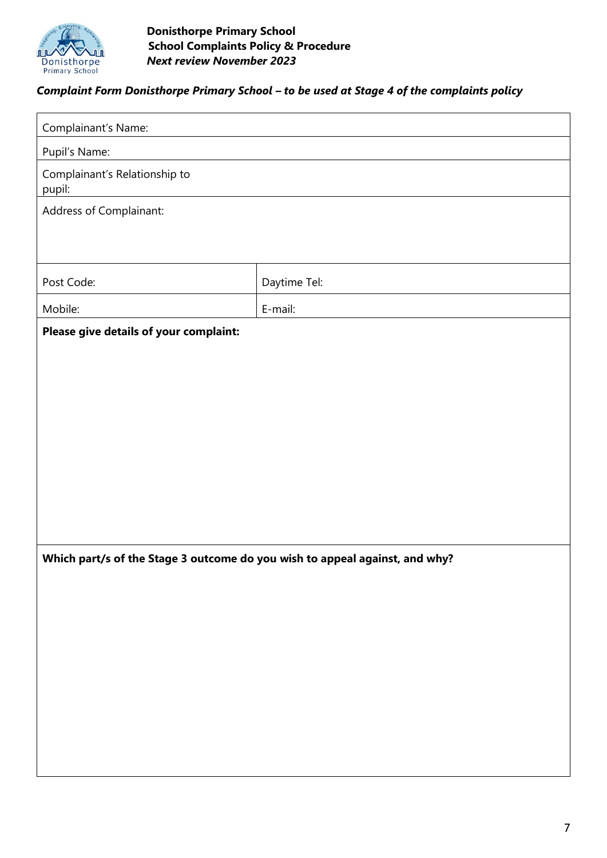

## *Complaint Form Donisthorpe Primary School – to be used at Stage 4 of the complaints policy*

| Complainant's Name:                                                         |              |  |
|-----------------------------------------------------------------------------|--------------|--|
| Pupil's Name:                                                               |              |  |
| Complainant's Relationship to<br>pupil:                                     |              |  |
| Address of Complainant:                                                     |              |  |
|                                                                             |              |  |
| Post Code:                                                                  | Daytime Tel: |  |
| Mobile:                                                                     | E-mail:      |  |
| Please give details of your complaint:                                      |              |  |
|                                                                             |              |  |
|                                                                             |              |  |
|                                                                             |              |  |
|                                                                             |              |  |
|                                                                             |              |  |
|                                                                             |              |  |
|                                                                             |              |  |
|                                                                             |              |  |
|                                                                             |              |  |
| Which part/s of the Stage 3 outcome do you wish to appeal against, and why? |              |  |
|                                                                             |              |  |
|                                                                             |              |  |
|                                                                             |              |  |
|                                                                             |              |  |
|                                                                             |              |  |
|                                                                             |              |  |
|                                                                             |              |  |
|                                                                             |              |  |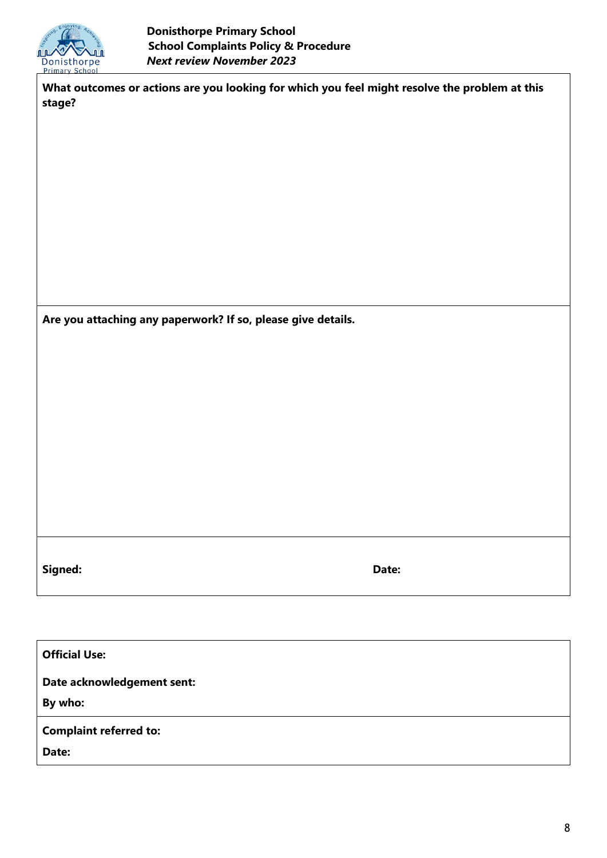

**What outcomes or actions are you looking for which you feel might resolve the problem at this stage?**

**Are you attaching any paperwork? If so, please give details.**

**Signed: Date:**

**Official Use:**

**Date acknowledgement sent:**

**By who:**

**Complaint referred to:**

**Date:**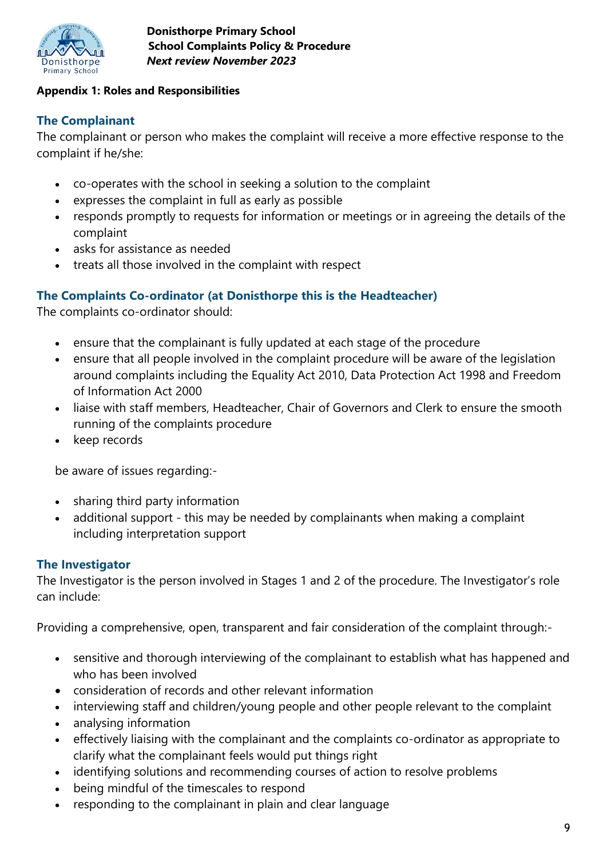

#### **Appendix 1: Roles and Responsibilities**

## **The Complainant**

The complainant or person who makes the complaint will receive a more effective response to the complaint if he/she:

- co-operates with the school in seeking a solution to the complaint
- expresses the complaint in full as early as possible
- responds promptly to requests for information or meetings or in agreeing the details of the complaint
- asks for assistance as needed
- treats all those involved in the complaint with respect

## **The Complaints Co-ordinator (at Donisthorpe this is the Headteacher)**

The complaints co-ordinator should:

- ensure that the complainant is fully updated at each stage of the procedure
- ensure that all people involved in the complaint procedure will be aware of the legislation around complaints including the Equality Act 2010, Data Protection Act 1998 and Freedom of Information Act 2000
- liaise with staff members, Headteacher, Chair of Governors and Clerk to ensure the smooth running of the complaints procedure
- keep records

be aware of issues regarding:-

- sharing third party information
- additional support this may be needed by complainants when making a complaint including interpretation support

### **The Investigator**

The Investigator is the person involved in Stages 1 and 2 of the procedure. The Investigator's role can include:

Providing a comprehensive, open, transparent and fair consideration of the complaint through:-

- sensitive and thorough interviewing of the complainant to establish what has happened and who has been involved
- consideration of records and other relevant information
- interviewing staff and children/young people and other people relevant to the complaint
- analysing information
- effectively liaising with the complainant and the complaints co-ordinator as appropriate to clarify what the complainant feels would put things right
- identifying solutions and recommending courses of action to resolve problems
- being mindful of the timescales to respond
- responding to the complainant in plain and clear language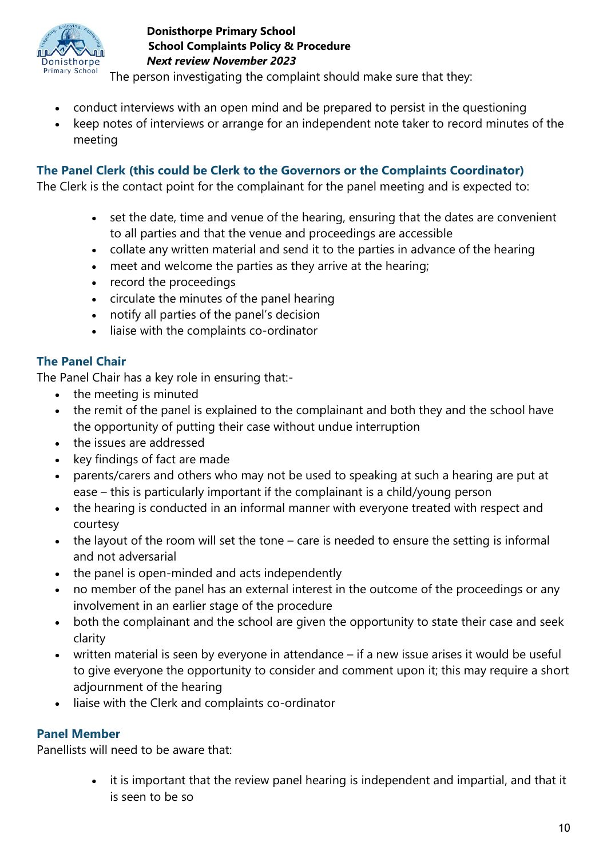

The person investigating the complaint should make sure that they:

- conduct interviews with an open mind and be prepared to persist in the questioning
- keep notes of interviews or arrange for an independent note taker to record minutes of the meeting

# **The Panel Clerk (this could be Clerk to the Governors or the Complaints Coordinator)**

The Clerk is the contact point for the complainant for the panel meeting and is expected to:

- set the date, time and venue of the hearing, ensuring that the dates are convenient to all parties and that the venue and proceedings are accessible
- collate any written material and send it to the parties in advance of the hearing
- meet and welcome the parties as they arrive at the hearing;
- record the proceedings
- circulate the minutes of the panel hearing
- notify all parties of the panel's decision
- liaise with the complaints co-ordinator

# **The Panel Chair**

The Panel Chair has a key role in ensuring that:-

- the meeting is minuted
- the remit of the panel is explained to the complainant and both they and the school have the opportunity of putting their case without undue interruption
- the issues are addressed
- key findings of fact are made
- parents/carers and others who may not be used to speaking at such a hearing are put at ease – this is particularly important if the complainant is a child/young person
- the hearing is conducted in an informal manner with everyone treated with respect and courtesy
- the layout of the room will set the tone care is needed to ensure the setting is informal and not adversarial
- the panel is open-minded and acts independently
- no member of the panel has an external interest in the outcome of the proceedings or any involvement in an earlier stage of the procedure
- both the complainant and the school are given the opportunity to state their case and seek clarity
- written material is seen by everyone in attendance if a new issue arises it would be useful to give everyone the opportunity to consider and comment upon it; this may require a short adjournment of the hearing
- liaise with the Clerk and complaints co-ordinator

## **Panel Member**

Panellists will need to be aware that:

• it is important that the review panel hearing is independent and impartial, and that it is seen to be so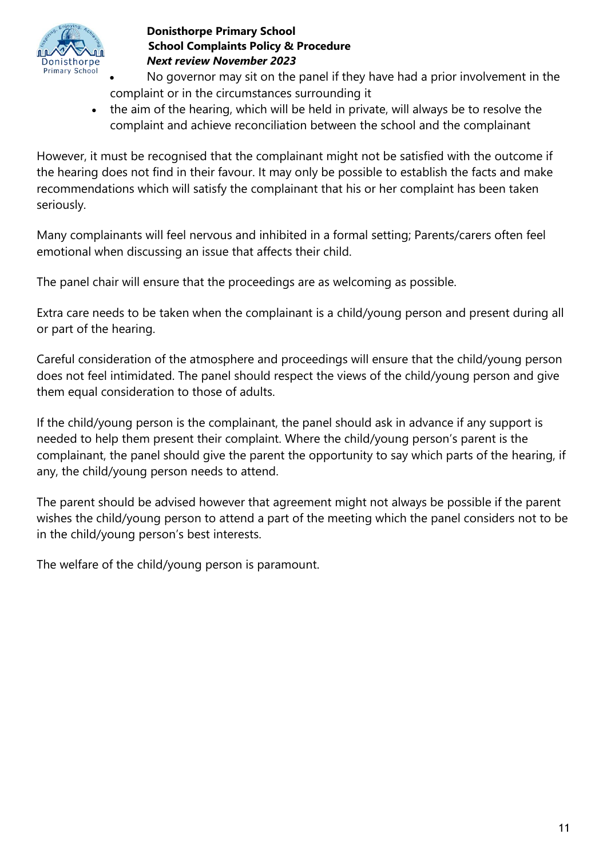

- No governor may sit on the panel if they have had a prior involvement in the complaint or in the circumstances surrounding it
- the aim of the hearing, which will be held in private, will always be to resolve the complaint and achieve reconciliation between the school and the complainant

However, it must be recognised that the complainant might not be satisfied with the outcome if the hearing does not find in their favour. It may only be possible to establish the facts and make recommendations which will satisfy the complainant that his or her complaint has been taken seriously.

Many complainants will feel nervous and inhibited in a formal setting; Parents/carers often feel emotional when discussing an issue that affects their child.

The panel chair will ensure that the proceedings are as welcoming as possible.

Extra care needs to be taken when the complainant is a child/young person and present during all or part of the hearing.

Careful consideration of the atmosphere and proceedings will ensure that the child/young person does not feel intimidated. The panel should respect the views of the child/young person and give them equal consideration to those of adults.

If the child/young person is the complainant, the panel should ask in advance if any support is needed to help them present their complaint. Where the child/young person's parent is the complainant, the panel should give the parent the opportunity to say which parts of the hearing, if any, the child/young person needs to attend.

The parent should be advised however that agreement might not always be possible if the parent wishes the child/young person to attend a part of the meeting which the panel considers not to be in the child/young person's best interests.

The welfare of the child/young person is paramount.